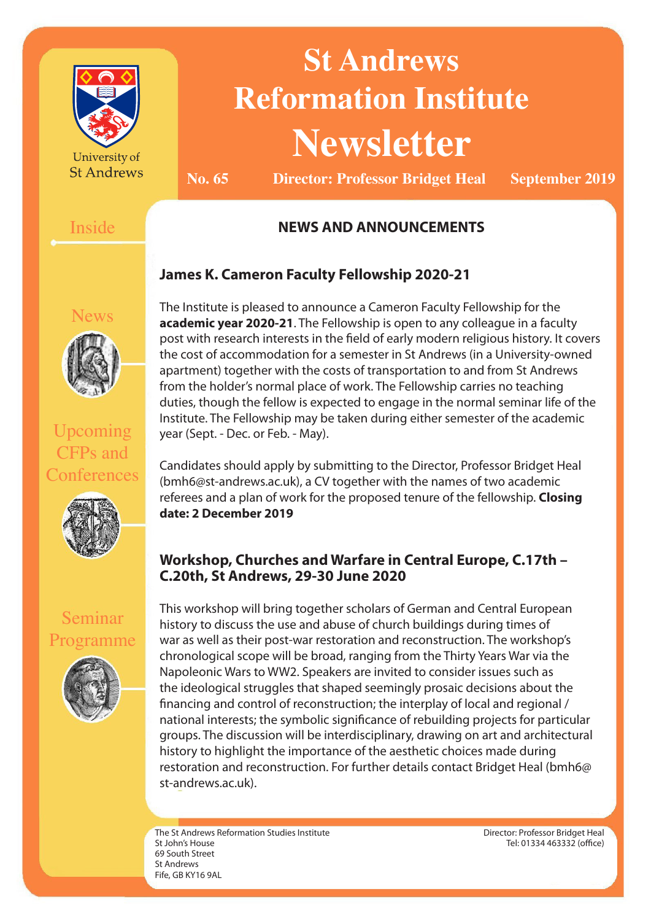

University of **St Andrews** 

# **St Andrews Reformation Institute Newsletter**

**No. 65 Director: Professor Bridget Heal September 2019**

#### Inside

#### **NEWS AND ANNOUNCEMENTS**

#### **James K. Cameron Faculty Fellowship 2020-21**

lews

Upcoming CFPs and **Conferences** 



Seminar

Programme

**academic year 2020-21**. The Fellowship is open to any colleague in a faculty post with research interests in the field of early modern religious history. It covers the cost of accommodation for a semester in St Andrews (in a University-owned apartment) together with the costs of transportation to and from St Andrews from the holder's normal place of work. The Fellowship carries no teaching duties, though the fellow is expected to engage in the normal seminar life of the Institute. The Fellowship may be taken during either semester of the academic year (Sept. - Dec. or Feb. - May).

The Institute is pleased to announce a Cameron Faculty Fellowship for the

Candidates should apply by submitting to the Director, Professor Bridget Heal (bmh6@st-andrews.ac.uk), a CV together with the names of two academic referees and a plan of work for the proposed tenure of the fellowship. **Closing date: 2 December 2019**

#### **Workshop, Churches and Warfare in Central Europe, C.17th – C.20th, St Andrews, 29-30 June 2020**

This workshop will bring together scholars of German and Central European history to discuss the use and abuse of church buildings during times of war as well as their post-war restoration and reconstruction. The workshop's chronological scope will be broad, ranging from the Thirty Years War via the Napoleonic Wars to WW2. Speakers are invited to consider issues such as the ideological struggles that shaped seemingly prosaic decisions about the financing and control of reconstruction; the interplay of local and regional / national interests; the symbolic significance of rebuilding projects for particular groups. The discussion will be interdisciplinary, drawing on art and architectural history to highlight the importance of the aesthetic choices made during restoration and reconstruction. For further details contact Bridget Heal (bmh6@ st-andrews.ac.uk).

The St Andrews Reformation Studies Institute St John's House 69 South Street St Andrews Fife, GB KY16 9AL

Director: Professor Bridget Heal Tel: 01334 463332 (office)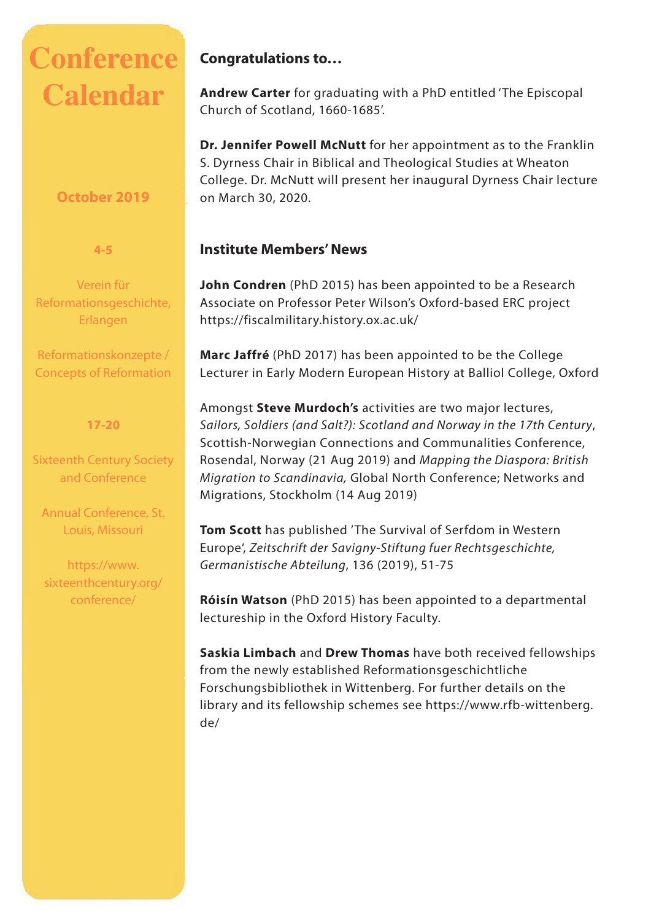## **Conference Calendar**

#### **October 2019**

**4-5**

Verein für Reformationsgeschichte, Erlangen

Reformationskonzepte / Concepts of Reformation

#### **17-20**

Sixteenth Century Society and Conference

Annual Conference, St. Louis, Missouri

https://www. sixteenthcentury.org/ conference/

#### **Congratulations to…**

**Andrew Carter** for graduating with a PhD entitled 'The Episcopal Church of Scotland, 1660-1685'.

**Dr. Jennifer Powell McNutt** for her appointment as to the Franklin S. Dyrness Chair in Biblical and Theological Studies at Wheaton College. Dr. McNutt will present her inaugural Dyrness Chair lecture on March 30, 2020.

#### **Institute Members' News**

**John Condren** (PhD 2015) has been appointed to be a Research Associate on Professor Peter Wilson's Oxford-based ERC project https://fiscalmilitary.history.ox.ac.uk/

**Marc Jaffré** (PhD 2017) has been appointed to be the College Lecturer in Early Modern European History at Balliol College, Oxford

Amongst **Steve Murdoch's** activities are two major lectures, *Sailors, Soldiers (and Salt?): Scotland and Norway in the 17th Century*, Scottish-Norwegian Connections and Communalities Conference, Rosendal, Norway (21 Aug 2019) and *Mapping the Diaspora: British Migration to Scandinavia,* Global North Conference; Networks and Migrations, Stockholm (14 Aug 2019)

**Tom Scott** has published 'The Survival of Serfdom in Western Europe', *Zeitschrift der Savigny-Stiftung fuer Rechtsgeschichte, Germanistische Abteilung*, 136 (2019), 51-75

**Róisín Watson** (PhD 2015) has been appointed to a departmental lectureship in the Oxford History Faculty.

**Saskia Limbach** and **Drew Thomas** have both received fellowships from the newly established Reformationsgeschichtliche Forschungsbibliothek in Wittenberg. For further details on the library and its fellowship schemes see https://www.rfb-wittenberg. de/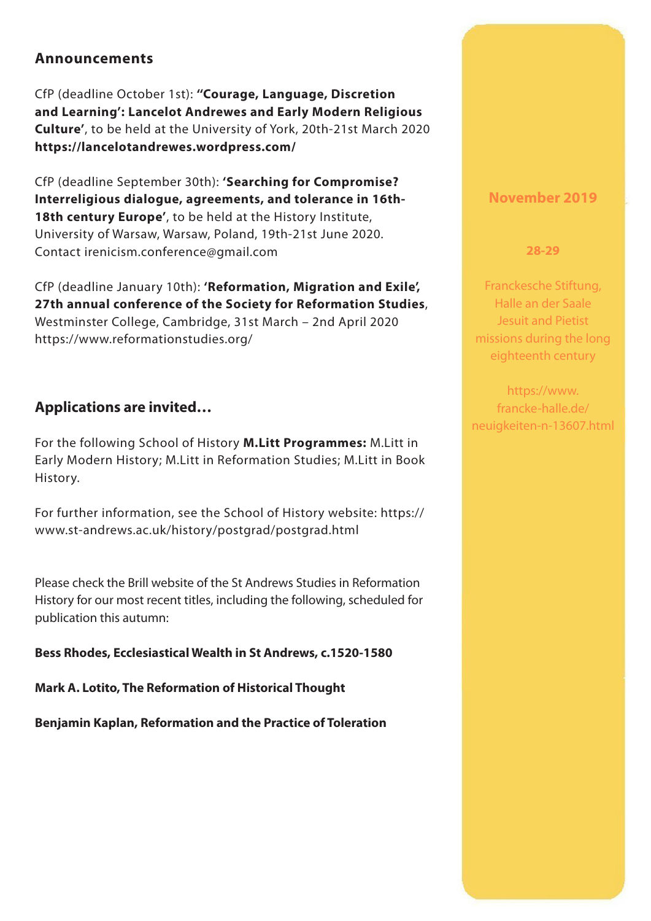#### **Announcements**

CfP (deadline October 1st): **''Courage, Language, Discretion and Learning': Lancelot Andrewes and Early Modern Religious Culture'**, to be held at the University of York, 20th-21st March 2020 **https://lancelotandrewes.wordpress.com/**

CfP (deadline September 30th): **'Searching for Compromise? Interreligious dialogue, agreements, and tolerance in 16th-18th century Europe'**, to be held at the History Institute, University of Warsaw, Warsaw, Poland, 19th-21st June 2020. Contact irenicism.conference@gmail.com

CfP (deadline January 10th): **'Reformation, Migration and Exile', 27th annual conference of the Society for Reformation Studies**, Westminster College, Cambridge, 31st March – 2nd April 2020 https://www.reformationstudies.org/

#### **Applications are invited…**

For the following School of History **M.Litt Programmes:** M.Litt in Early Modern History; M.Litt in Reformation Studies; M.Litt in Book History.

For further information, see the School of History website: https:// www.st-andrews.ac.uk/history/postgrad/postgrad.html

Please check the Brill website of the St Andrews Studies in Reformation History for our most recent titles, including the following, scheduled for publication this autumn:

**Bess Rhodes, Ecclesiastical Wealth in St Andrews, c.1520-1580** 

**Mark A. Lotito, The Reformation of Historical Thought**

**Benjamin Kaplan, Reformation and the Practice of Toleration**

#### **November 2019**

**28-29**

Franckesche Stiftung, Halle an der Saale Jesuit and Pietist missions during the long eighteenth century

https://www. francke-halle.de/ neuigkeiten-n-13607.html